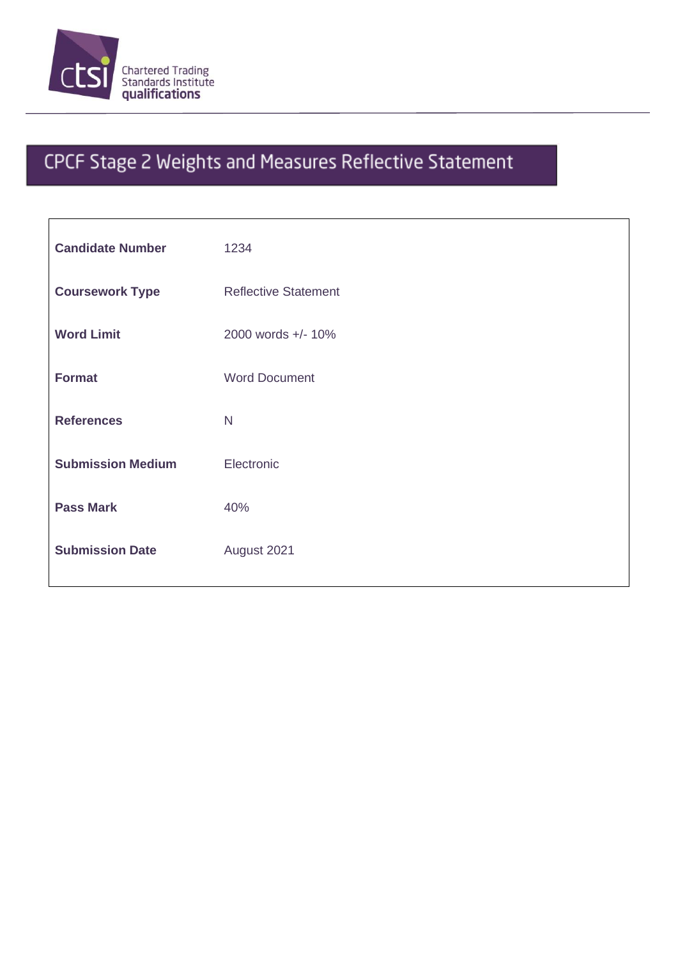

## CPCF Stage 2 Weights and Measures Reflective Statement

| <b>Candidate Number</b>  | 1234                        |
|--------------------------|-----------------------------|
| <b>Coursework Type</b>   | <b>Reflective Statement</b> |
| <b>Word Limit</b>        | 2000 words +/- 10%          |
| <b>Format</b>            | <b>Word Document</b>        |
|                          |                             |
| <b>References</b>        | N                           |
| <b>Submission Medium</b> | Electronic                  |
| <b>Pass Mark</b>         | 40%                         |
| <b>Submission Date</b>   | August 2021                 |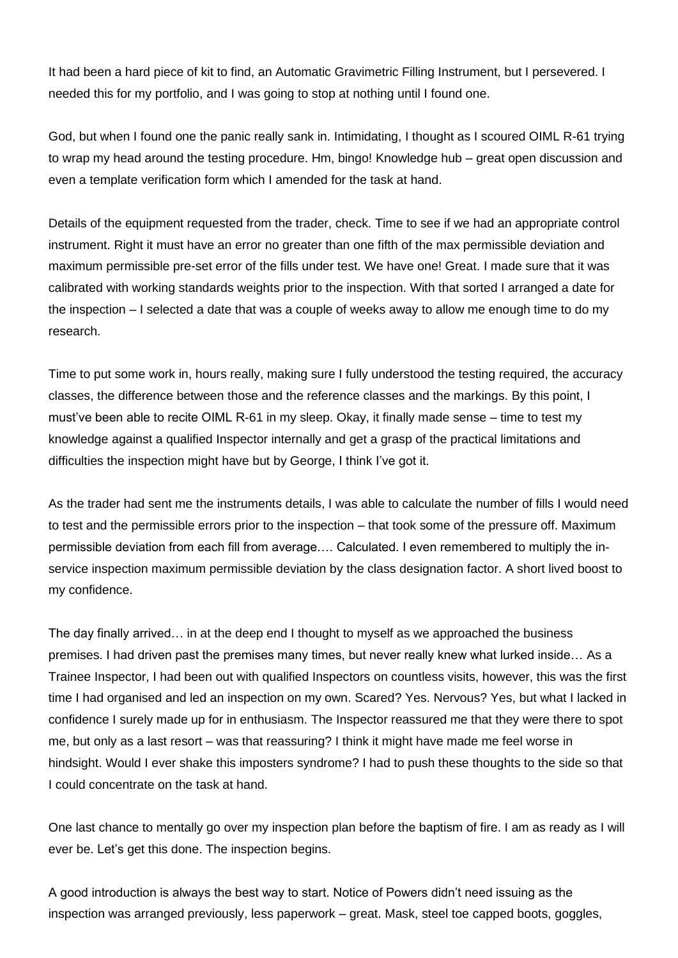It had been a hard piece of kit to find, an Automatic Gravimetric Filling Instrument, but I persevered. I needed this for my portfolio, and I was going to stop at nothing until I found one.

God, but when I found one the panic really sank in. Intimidating, I thought as I scoured OIML R-61 trying to wrap my head around the testing procedure. Hm, bingo! Knowledge hub – great open discussion and even a template verification form which I amended for the task at hand.

Details of the equipment requested from the trader, check. Time to see if we had an appropriate control instrument. Right it must have an error no greater than one fifth of the max permissible deviation and maximum permissible pre-set error of the fills under test. We have one! Great. I made sure that it was calibrated with working standards weights prior to the inspection. With that sorted I arranged a date for the inspection – I selected a date that was a couple of weeks away to allow me enough time to do my research.

Time to put some work in, hours really, making sure I fully understood the testing required, the accuracy classes, the difference between those and the reference classes and the markings. By this point, I must've been able to recite OIML R-61 in my sleep. Okay, it finally made sense – time to test my knowledge against a qualified Inspector internally and get a grasp of the practical limitations and difficulties the inspection might have but by George, I think I've got it.

As the trader had sent me the instruments details, I was able to calculate the number of fills I would need to test and the permissible errors prior to the inspection – that took some of the pressure off. Maximum permissible deviation from each fill from average…. Calculated. I even remembered to multiply the inservice inspection maximum permissible deviation by the class designation factor. A short lived boost to my confidence.

The day finally arrived… in at the deep end I thought to myself as we approached the business premises. I had driven past the premises many times, but never really knew what lurked inside… As a Trainee Inspector, I had been out with qualified Inspectors on countless visits, however, this was the first time I had organised and led an inspection on my own. Scared? Yes. Nervous? Yes, but what I lacked in confidence I surely made up for in enthusiasm. The Inspector reassured me that they were there to spot me, but only as a last resort – was that reassuring? I think it might have made me feel worse in hindsight. Would I ever shake this imposters syndrome? I had to push these thoughts to the side so that I could concentrate on the task at hand.

One last chance to mentally go over my inspection plan before the baptism of fire. I am as ready as I will ever be. Let's get this done. The inspection begins.

A good introduction is always the best way to start. Notice of Powers didn't need issuing as the inspection was arranged previously, less paperwork – great. Mask, steel toe capped boots, goggles,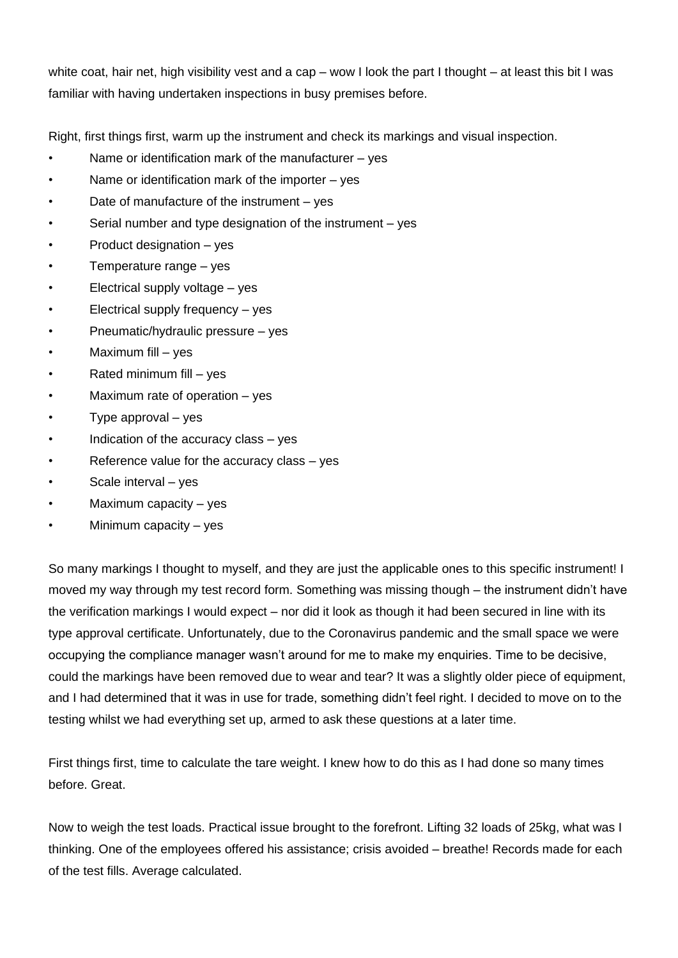white coat, hair net, high visibility vest and a cap – wow I look the part I thought – at least this bit I was familiar with having undertaken inspections in busy premises before.

Right, first things first, warm up the instrument and check its markings and visual inspection.

- Name or identification mark of the manufacturer  $-$  yes
- Name or identification mark of the importer  $-$  yes
- Date of manufacture of the instrument  $-$  yes
- Serial number and type designation of the instrument  $-$  yes
- Product designation yes
- Temperature range  $-$  yes
- Electrical supply voltage  $-$  yes
- Electrical supply frequency yes
- Pneumatic/hydraulic pressure yes
- Maximum fill  $-$  yes
- Rated minimum fill yes
- Maximum rate of operation  $-$  yes
- Type approval  $-$  yes
- Indication of the accuracy class  $-$  yes
- Reference value for the accuracy class  $-$  yes
- Scale interval yes
- Maximum capacity  $-$  yes
- Minimum capacity  $-$  yes

So many markings I thought to myself, and they are just the applicable ones to this specific instrument! I moved my way through my test record form. Something was missing though – the instrument didn't have the verification markings I would expect – nor did it look as though it had been secured in line with its type approval certificate. Unfortunately, due to the Coronavirus pandemic and the small space we were occupying the compliance manager wasn't around for me to make my enquiries. Time to be decisive, could the markings have been removed due to wear and tear? It was a slightly older piece of equipment, and I had determined that it was in use for trade, something didn't feel right. I decided to move on to the testing whilst we had everything set up, armed to ask these questions at a later time.

First things first, time to calculate the tare weight. I knew how to do this as I had done so many times before. Great.

Now to weigh the test loads. Practical issue brought to the forefront. Lifting 32 loads of 25kg, what was I thinking. One of the employees offered his assistance; crisis avoided – breathe! Records made for each of the test fills. Average calculated.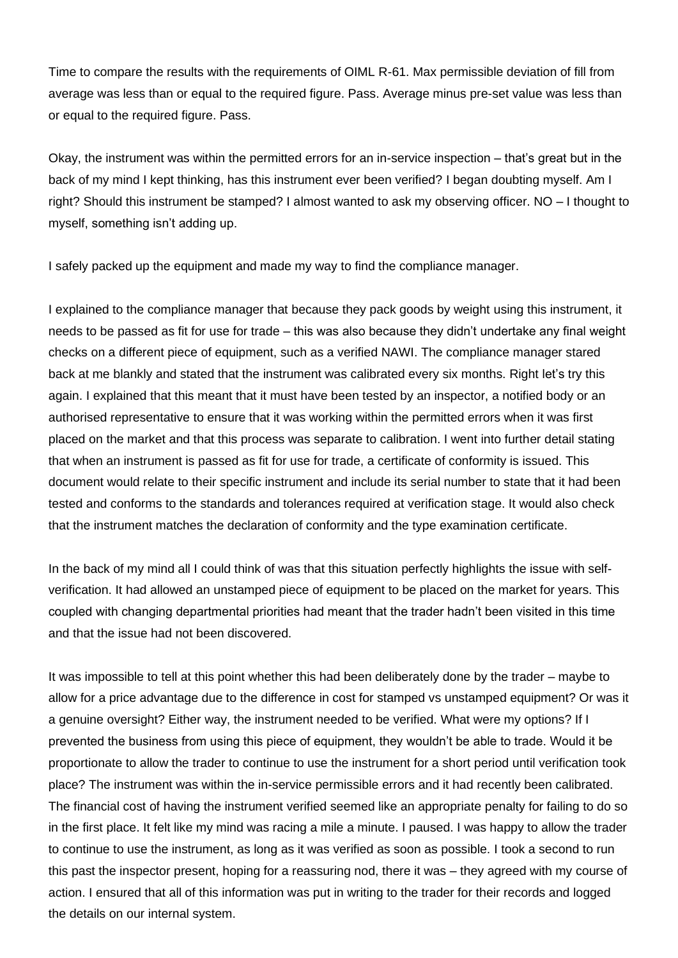Time to compare the results with the requirements of OIML R-61. Max permissible deviation of fill from average was less than or equal to the required figure. Pass. Average minus pre-set value was less than or equal to the required figure. Pass.

Okay, the instrument was within the permitted errors for an in-service inspection – that's great but in the back of my mind I kept thinking, has this instrument ever been verified? I began doubting myself. Am I right? Should this instrument be stamped? I almost wanted to ask my observing officer. NO – I thought to myself, something isn't adding up.

I safely packed up the equipment and made my way to find the compliance manager.

I explained to the compliance manager that because they pack goods by weight using this instrument, it needs to be passed as fit for use for trade – this was also because they didn't undertake any final weight checks on a different piece of equipment, such as a verified NAWI. The compliance manager stared back at me blankly and stated that the instrument was calibrated every six months. Right let's try this again. I explained that this meant that it must have been tested by an inspector, a notified body or an authorised representative to ensure that it was working within the permitted errors when it was first placed on the market and that this process was separate to calibration. I went into further detail stating that when an instrument is passed as fit for use for trade, a certificate of conformity is issued. This document would relate to their specific instrument and include its serial number to state that it had been tested and conforms to the standards and tolerances required at verification stage. It would also check that the instrument matches the declaration of conformity and the type examination certificate.

In the back of my mind all I could think of was that this situation perfectly highlights the issue with selfverification. It had allowed an unstamped piece of equipment to be placed on the market for years. This coupled with changing departmental priorities had meant that the trader hadn't been visited in this time and that the issue had not been discovered.

It was impossible to tell at this point whether this had been deliberately done by the trader – maybe to allow for a price advantage due to the difference in cost for stamped vs unstamped equipment? Or was it a genuine oversight? Either way, the instrument needed to be verified. What were my options? If I prevented the business from using this piece of equipment, they wouldn't be able to trade. Would it be proportionate to allow the trader to continue to use the instrument for a short period until verification took place? The instrument was within the in-service permissible errors and it had recently been calibrated. The financial cost of having the instrument verified seemed like an appropriate penalty for failing to do so in the first place. It felt like my mind was racing a mile a minute. I paused. I was happy to allow the trader to continue to use the instrument, as long as it was verified as soon as possible. I took a second to run this past the inspector present, hoping for a reassuring nod, there it was – they agreed with my course of action. I ensured that all of this information was put in writing to the trader for their records and logged the details on our internal system.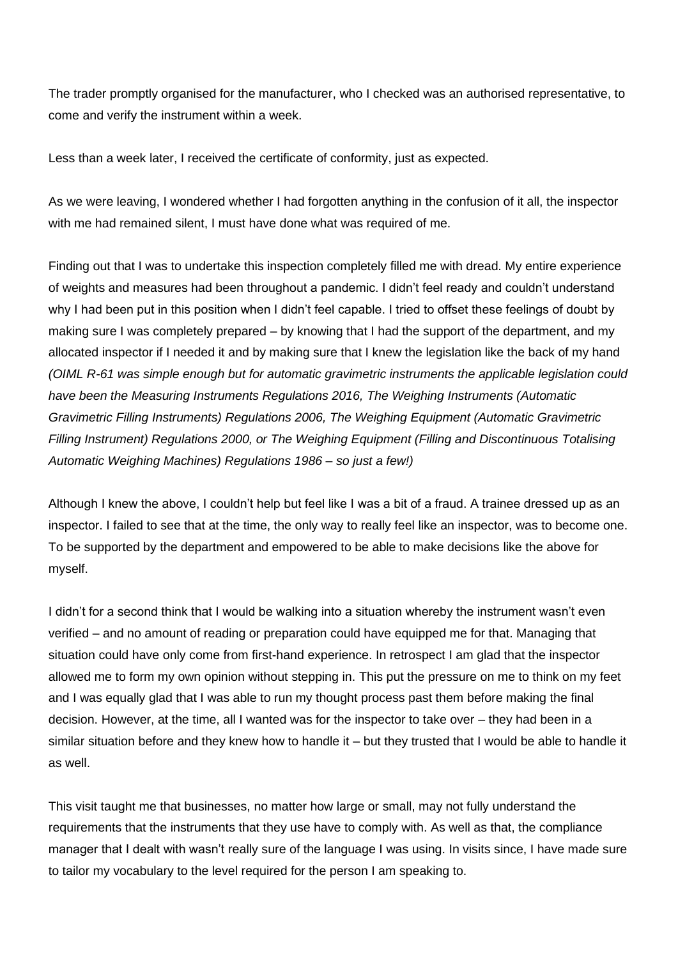The trader promptly organised for the manufacturer, who I checked was an authorised representative, to come and verify the instrument within a week.

Less than a week later, I received the certificate of conformity, just as expected.

As we were leaving, I wondered whether I had forgotten anything in the confusion of it all, the inspector with me had remained silent, I must have done what was required of me.

Finding out that I was to undertake this inspection completely filled me with dread. My entire experience of weights and measures had been throughout a pandemic. I didn't feel ready and couldn't understand why I had been put in this position when I didn't feel capable. I tried to offset these feelings of doubt by making sure I was completely prepared – by knowing that I had the support of the department, and my allocated inspector if I needed it and by making sure that I knew the legislation like the back of my hand *(OIML R-61 was simple enough but for automatic gravimetric instruments the applicable legislation could have been the Measuring Instruments Regulations 2016, The Weighing Instruments (Automatic Gravimetric Filling Instruments) Regulations 2006, The Weighing Equipment (Automatic Gravimetric Filling Instrument) Regulations 2000, or The Weighing Equipment (Filling and Discontinuous Totalising Automatic Weighing Machines) Regulations 1986 – so just a few!)*

Although I knew the above, I couldn't help but feel like I was a bit of a fraud. A trainee dressed up as an inspector. I failed to see that at the time, the only way to really feel like an inspector, was to become one. To be supported by the department and empowered to be able to make decisions like the above for myself.

I didn't for a second think that I would be walking into a situation whereby the instrument wasn't even verified – and no amount of reading or preparation could have equipped me for that. Managing that situation could have only come from first-hand experience. In retrospect I am glad that the inspector allowed me to form my own opinion without stepping in. This put the pressure on me to think on my feet and I was equally glad that I was able to run my thought process past them before making the final decision. However, at the time, all I wanted was for the inspector to take over – they had been in a similar situation before and they knew how to handle it – but they trusted that I would be able to handle it as well.

This visit taught me that businesses, no matter how large or small, may not fully understand the requirements that the instruments that they use have to comply with. As well as that, the compliance manager that I dealt with wasn't really sure of the language I was using. In visits since, I have made sure to tailor my vocabulary to the level required for the person I am speaking to.